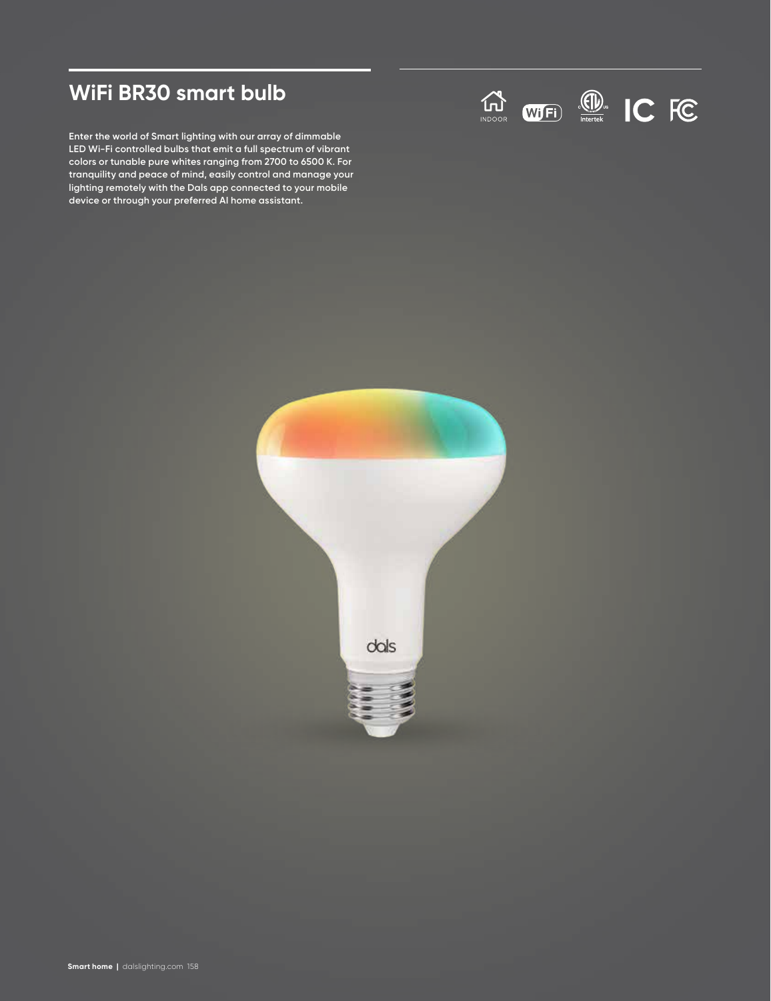# **WiFi BR30 smart bulb**

**Enter the world of Smart lighting with our array of dimmable LED Wi-Fi controlled bulbs that emit a full spectrum of vibrant colors or tunable pure whites ranging from 2700 to 6500 K. For tranquility and peace of mind, easily control and manage your lighting remotely with the Dals app connected to your mobile device or through your preferred AI home assistant.**